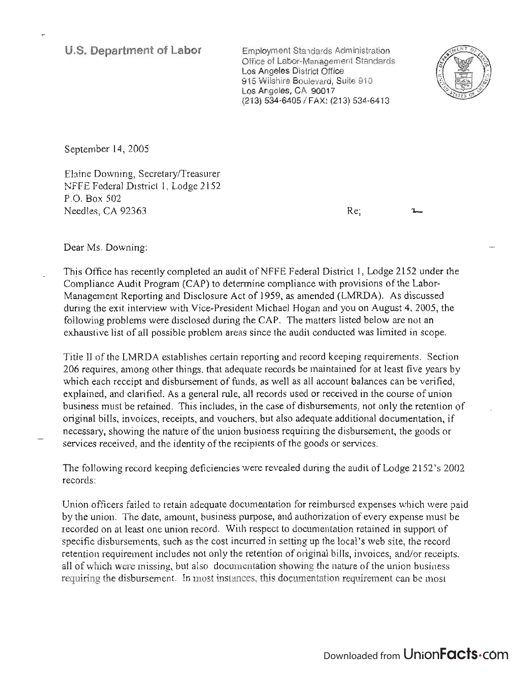## **u.s. Department of Labor**

Employment Standards Administration oployment Standards Administration Office of Labor-Management Standards Los Angeles District Office 915 Wilshire Boulevard, Suite 910 Los Angeles, CA 90017<br>(213) 534-6405 / FAX: (213) 534-6413



September 14, 2005

 $\mathbb{E}^{\mathcal{F}}$  and  $\mathcal{F}$  and  $\mathcal{F}$  and  $\mathcal{F}$  $R = 1 - 1R + 1I$   $I = 1.522$ NFFE Federal District 1, Lodge 2152<br>P.O. Box 502 Needles, CA 92363

Re;

Dear Ms. Downing:

This Office has recently completed an audit ofNFFE Federal District 1, Lodge 2152 under the nis Office has recently completed an addition in FFE Federal District 1, Lodge 2152 under the complete the Labor-Compliance Audit Program (CAP) to determine compliance with provisions of the Labor-Management Reporting and Disclosure Act of 1959, as amended (LMRDA). As discussed during the exit interview with Vice-President Michael Hogan and you on August 4, 2005, the following the exit fine view with view resident intended frogan and you on August 4, 2005, the matters listed below are not an exhaustive list of all possible problem areas since the audit conducts instead below are not an

Title II of the LMRDA establishes certain reporting and record keeping requirements. Section 206 requires, among other things, that adequate records be maintained for at least five years by whequites, among other timigs, that adequate records be maintained for at reast five years by<br>high received and disbursement of funds, as well as all account be because the verified,  $\epsilon$  and  $\epsilon$  and clarified. As a general rule, all recent used or received in the course of union explained, and clarified. As a general rule, all records used or received in the course of union<br>business must be retained. This includes, in the case of disbursements, not only the retention of original bills, invoices, receipts, and vouchers, but also adequate additional documentation, if necessary, showing the nature of the union business requiring the disbursement, the goods or services received, and the identity of the recipients of the goods or services.

The following record keeping deficiencies were revealed during the audit of Lodge 2152 's 2002  $\frac{1}{2}$ 

Union officers failed to retain adequate documentation for reimbursed expenses which were paid by the union. The date, amount, business purpose, and authorization of every expense must be date. recorded on at least one union record. With respect to documentation retained in support of the recorded on at least one union record. With respect to documentation retained in support of specific disbursements, such as the cost incurred in setting up the local's web site, the record retention requirement includes not only the retention of original bills, invoices, and/or receipts, all of which were missing, but also documentation showing the nature of the union business requiring the disbursement. In most instances, this documentation requirement can be most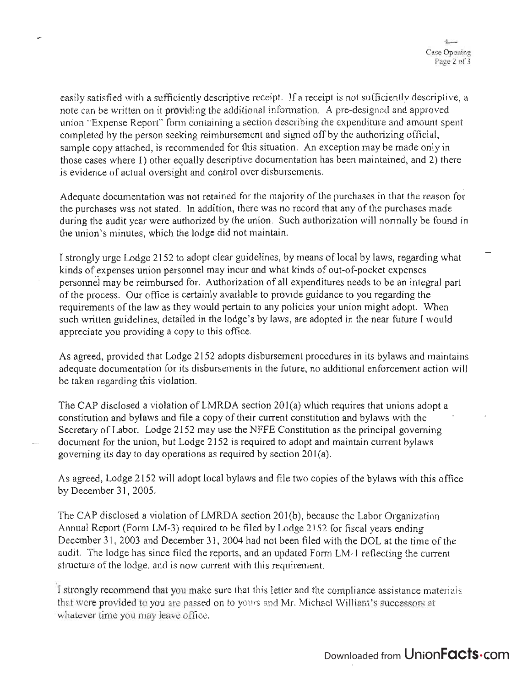easily satisfied with a sufficiently descriptive receipt. If a receipt is not sufficiently descriptive, a note can be written on it providing the additional information. A pre-designed and approved union "Expense Report" form containing a section describing the expenditure and amount spent completed by the person seeking reimbursement and signed off by the authorizing official, sample copy attached, is recommended for this situation. An exception may be made only in those cases where 1) other equally descriptive documentation has been maintained, and 2) there is evidence of actual oversight and control over disbursements.

Adequate documentation was not retained for the majority of the purchases in that the reason for the purchases was not stated. In addition, there was no record that any of the purchases made during the audit year were authorized by the union. Such authorization will normally be found in the union's minutes, which the lodge did not maintain.

I strongly urge Lodge 2152 to adopt clear guidelines, by means of local by laws, regarding what kinds of expenses union personnel may incur and what kinds of out-of-pocket expenses personnel may be reimbursed for. Authorization of all expenditures needs to be an integral part of the process. Our office is certainly available to provide guidance to you regarding the requirements of the law as they would pertain to any policies your union might adopt. When such written guidelines, detailed in the lodge's by laws, are adopted in the near future I would appreciate you providing a copy to this office.

As agreed, provided that Lodge 2152 adopts disbursement procedures in its bylaws and maintains adequate documentation for its disbursements in the future, no additional enforcement action will be taken regarding this violation.

The CAP disclosed a violation of LMRDA section 201(a) which requires that unions adopt a constitution and bylaws and file a copy of their current constitution and bylaws with the . Secretary of Labor. Lodge 2152 may use the NFFE Constitution as the principal governing document for the union, but Lodge 2152 is required to adopt and maintain current bylaws governing its day to day operations as required by section 201(a).

As agreed, Lodge 2152 will adopt local bylaws and file two copies of the bylaws with this office by December 31,2005.

The CAP disclosed a violation of LMRDA section 201(b), because the Labor Organization Annual Report (Form LM-3) required to be filed by Lodge 2152 for fiscal years ending December 31, 2003 and December 31, 2004 had not been filed with the DOL at the time of the audit. The lodge has since filed the reports, and an updated Form LM-l reflecting the current structure of the lodge, and is now current with this requirement.

I strongly recommend that you make sure that this letter and the compliance assistance materials that were provided to you are passed on to yours and Mr. Michael William's successors at whatever time you may leave office.